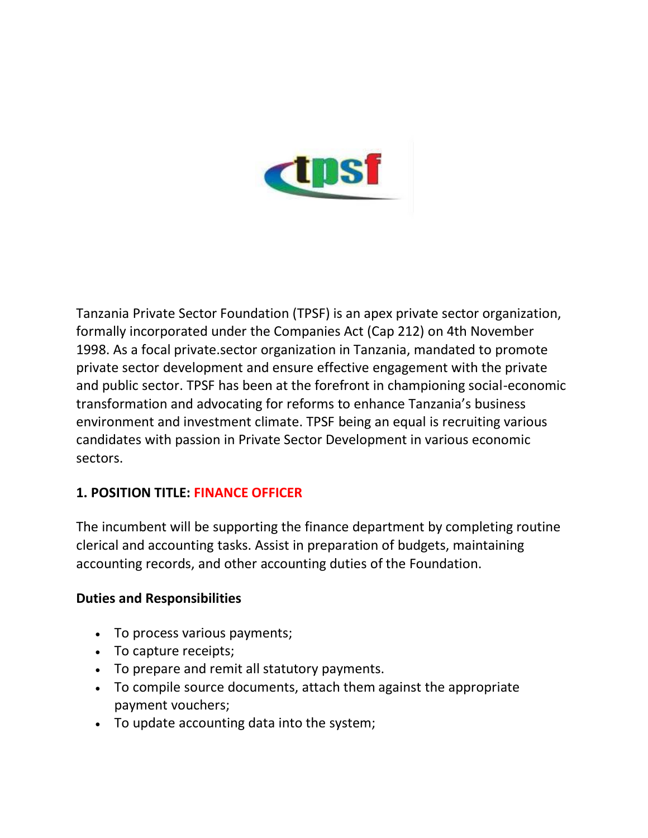

Tanzania Private Sector Foundation (TPSF) is an apex private sector organization, formally incorporated under the Companies Act (Cap 212) on 4th November 1998. As a focal private.sector organization in Tanzania, mandated to promote private sector development and ensure effective engagement with the private and public sector. TPSF has been at the forefront in championing social-economic transformation and advocating for reforms to enhance Tanzania's business environment and investment climate. TPSF being an equal is recruiting various candidates with passion in Private Sector Development in various economic sectors.

### **1. POSITION TITLE: FINANCE OFFICER**

The incumbent will be supporting the finance department by completing routine clerical and accounting tasks. Assist in preparation of budgets, maintaining accounting records, and other accounting duties of the Foundation.

#### **Duties and Responsibilities**

- To process various payments;
- To capture receipts;
- To prepare and remit all statutory payments.
- To compile source documents, attach them against the appropriate payment vouchers;
- To update accounting data into the system;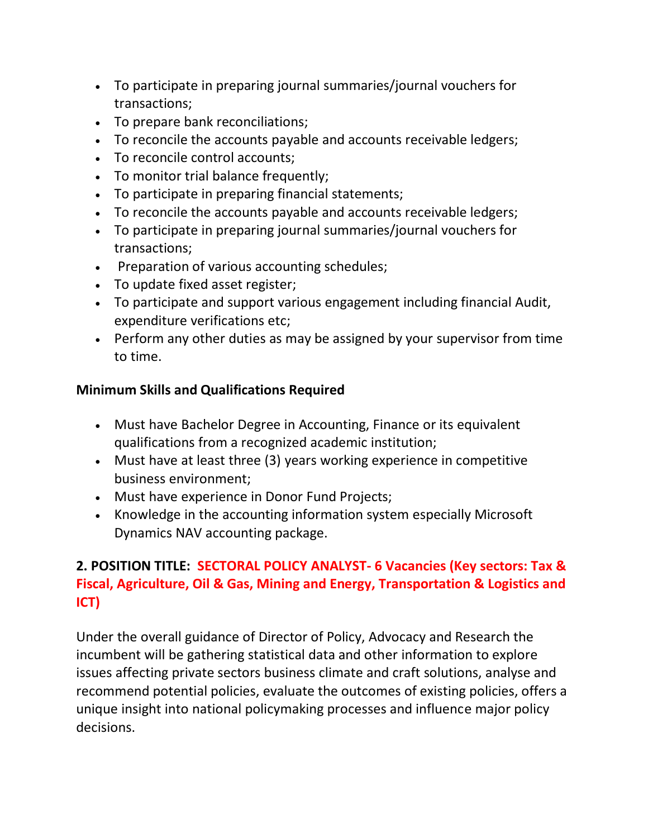- To participate in preparing journal summaries/journal vouchers for transactions;
- To prepare bank reconciliations;
- To reconcile the accounts payable and accounts receivable ledgers;
- To reconcile control accounts;
- To monitor trial balance frequently;
- To participate in preparing financial statements;
- To reconcile the accounts payable and accounts receivable ledgers;
- To participate in preparing journal summaries/journal vouchers for transactions;
- Preparation of various accounting schedules;
- To update fixed asset register;
- To participate and support various engagement including financial Audit, expenditure verifications etc;
- Perform any other duties as may be assigned by your supervisor from time to time.

### **Minimum Skills and Qualifications Required**

- Must have Bachelor Degree in Accounting, Finance or its equivalent qualifications from a recognized academic institution;
- Must have at least three (3) years working experience in competitive business environment;
- Must have experience in Donor Fund Projects;
- Knowledge in the accounting information system especially Microsoft Dynamics NAV accounting package.

## **2. POSITION TITLE: SECTORAL POLICY ANALYST- 6 Vacancies (Key sectors: Tax & Fiscal, Agriculture, Oil & Gas, Mining and Energy, Transportation & Logistics and ICT)**

Under the overall guidance of Director of Policy, Advocacy and Research the incumbent will be gathering statistical data and other information to explore issues affecting private sectors business climate and craft solutions, analyse and recommend potential policies, evaluate the outcomes of existing policies, offers a unique insight into national policymaking processes and influence major policy decisions.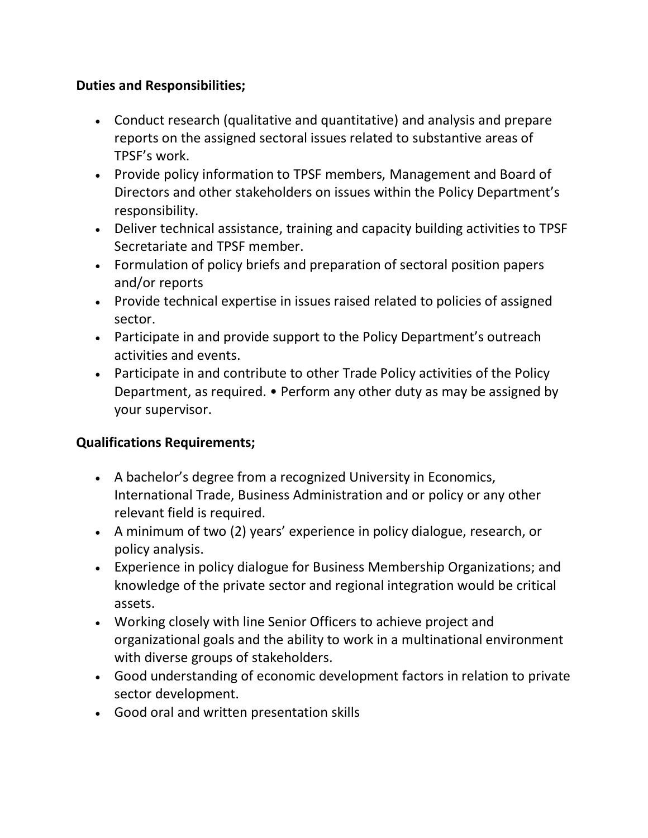### **Duties and Responsibilities;**

- Conduct research (qualitative and quantitative) and analysis and prepare reports on the assigned sectoral issues related to substantive areas of TPSF's work.
- Provide policy information to TPSF members, Management and Board of Directors and other stakeholders on issues within the Policy Department's responsibility.
- Deliver technical assistance, training and capacity building activities to TPSF Secretariate and TPSF member.
- Formulation of policy briefs and preparation of sectoral position papers and/or reports
- Provide technical expertise in issues raised related to policies of assigned sector.
- Participate in and provide support to the Policy Department's outreach activities and events.
- Participate in and contribute to other Trade Policy activities of the Policy Department, as required. • Perform any other duty as may be assigned by your supervisor.

### **Qualifications Requirements;**

- A bachelor's degree from a recognized University in Economics, International Trade, Business Administration and or policy or any other relevant field is required.
- A minimum of two (2) years' experience in policy dialogue, research, or policy analysis.
- Experience in policy dialogue for Business Membership Organizations; and knowledge of the private sector and regional integration would be critical assets.
- Working closely with line Senior Officers to achieve project and organizational goals and the ability to work in a multinational environment with diverse groups of stakeholders.
- Good understanding of economic development factors in relation to private sector development.
- Good oral and written presentation skills